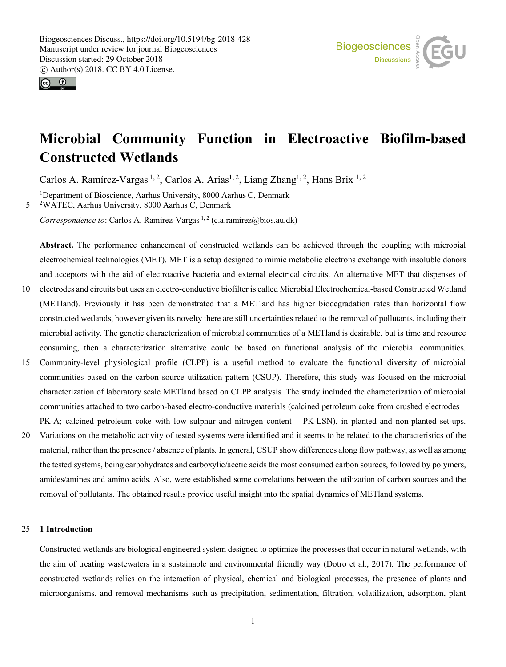



# **Microbial Community Function in Electroactive Biofilm-based Constructed Wetlands**

Carlos A. Ramírez-Vargas<sup>1, 2</sup>, Carlos A. Arias<sup>1, 2</sup>, Liang Zhang<sup>1, 2</sup>, Hans Brix<sup>1, 2</sup>

<sup>1</sup>Department of Bioscience, Aarhus University, 8000 Aarhus C, Denmark 5 <sup>2</sup> WATEC, Aarhus University, 8000 Aarhus C, Denmark

*Correspondence to*: Carlos A. Ramírez-Vargas<sup>1,2</sup> (c.a.ramirez@bios.au.dk)

**Abstract.** The performance enhancement of constructed wetlands can be achieved through the coupling with microbial electrochemical technologies (MET). MET is a setup designed to mimic metabolic electrons exchange with insoluble donors and acceptors with the aid of electroactive bacteria and external electrical circuits. An alternative MET that dispenses of

- 10 electrodes and circuits but uses an electro-conductive biofilter is called Microbial Electrochemical-based Constructed Wetland (METland). Previously it has been demonstrated that a METland has higher biodegradation rates than horizontal flow constructed wetlands, however given its novelty there are still uncertainties related to the removal of pollutants, including their microbial activity. The genetic characterization of microbial communities of a METland is desirable, but is time and resource consuming, then a characterization alternative could be based on functional analysis of the microbial communities.
- 15 Community-level physiological profile (CLPP) is a useful method to evaluate the functional diversity of microbial communities based on the carbon source utilization pattern (CSUP). Therefore, this study was focused on the microbial characterization of laboratory scale METland based on CLPP analysis. The study included the characterization of microbial communities attached to two carbon-based electro-conductive materials (calcined petroleum coke from crushed electrodes – PK-A; calcined petroleum coke with low sulphur and nitrogen content – PK-LSN), in planted and non-planted set-ups.
- 20 Variations on the metabolic activity of tested systems were identified and it seems to be related to the characteristics of the material, rather than the presence / absence of plants. In general, CSUP show differences along flow pathway, as well as among the tested systems, being carbohydrates and carboxylic/acetic acids the most consumed carbon sources, followed by polymers, amides/amines and amino acids. Also, were established some correlations between the utilization of carbon sources and the removal of pollutants. The obtained results provide useful insight into the spatial dynamics of METland systems.

# 25 **1 Introduction**

Constructed wetlands are biological engineered system designed to optimize the processes that occur in natural wetlands, with the aim of treating wastewaters in a sustainable and environmental friendly way (Dotro et al., 2017). The performance of constructed wetlands relies on the interaction of physical, chemical and biological processes, the presence of plants and microorganisms, and removal mechanisms such as precipitation, sedimentation, filtration, volatilization, adsorption, plant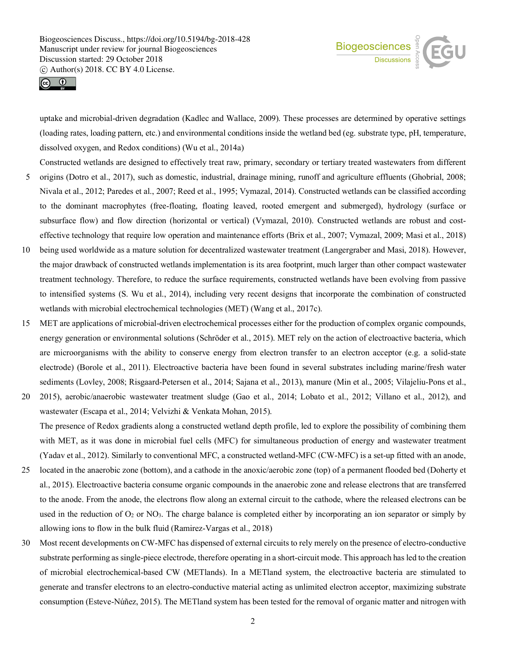



uptake and microbial-driven degradation (Kadlec and Wallace, 2009). These processes are determined by operative settings (loading rates, loading pattern, etc.) and environmental conditions inside the wetland bed (eg. substrate type, pH, temperature, dissolved oxygen, and Redox conditions) (Wu et al., 2014a)

Constructed wetlands are designed to effectively treat raw, primary, secondary or tertiary treated wastewaters from different

- 5 origins (Dotro et al., 2017), such as domestic, industrial, drainage mining, runoff and agriculture effluents (Ghobrial, 2008; Nivala et al., 2012; Paredes et al., 2007; Reed et al., 1995; Vymazal, 2014). Constructed wetlands can be classified according to the dominant macrophytes (free-floating, floating leaved, rooted emergent and submerged), hydrology (surface or subsurface flow) and flow direction (horizontal or vertical) (Vymazal, 2010). Constructed wetlands are robust and costeffective technology that require low operation and maintenance efforts (Brix et al., 2007; Vymazal, 2009; Masi et al., 2018)
- 10 being used worldwide as a mature solution for decentralized wastewater treatment (Langergraber and Masi, 2018). However, the major drawback of constructed wetlands implementation is its area footprint, much larger than other compact wastewater treatment technology. Therefore, to reduce the surface requirements, constructed wetlands have been evolving from passive to intensified systems (S. Wu et al., 2014), including very recent designs that incorporate the combination of constructed wetlands with microbial electrochemical technologies (MET) (Wang et al., 2017c).
- 15 MET are applications of microbial-driven electrochemical processes either for the production of complex organic compounds, energy generation or environmental solutions (Schröder et al., 2015). MET rely on the action of electroactive bacteria, which are microorganisms with the ability to conserve energy from electron transfer to an electron acceptor (e.g. a solid-state electrode) (Borole et al., 2011). Electroactive bacteria have been found in several substrates including marine/fresh water sediments (Lovley, 2008; Risgaard-Petersen et al., 2014; Sajana et al., 2013), manure (Min et al., 2005; Vilajeliu-Pons et al.,
- 20 2015), aerobic/anaerobic wastewater treatment sludge (Gao et al., 2014; Lobato et al., 2012; Villano et al., 2012), and wastewater (Escapa et al., 2014; Velvizhi & Venkata Mohan, 2015). The presence of Redox gradients along a constructed wetland depth profile, led to explore the possibility of combining them

with MET, as it was done in microbial fuel cells (MFC) for simultaneous production of energy and wastewater treatment (Yadav et al., 2012). Similarly to conventional MFC, a constructed wetland-MFC (CW-MFC) is a set-up fitted with an anode,

- 25 located in the anaerobic zone (bottom), and a cathode in the anoxic/aerobic zone (top) of a permanent flooded bed (Doherty et al., 2015). Electroactive bacteria consume organic compounds in the anaerobic zone and release electrons that are transferred to the anode. From the anode, the electrons flow along an external circuit to the cathode, where the released electrons can be used in the reduction of  $O_2$  or  $NO_3$ . The charge balance is completed either by incorporating an ion separator or simply by allowing ions to flow in the bulk fluid (Ramirez-Vargas et al., 2018)
- 30 Most recent developments on CW-MFC has dispensed of external circuits to rely merely on the presence of electro-conductive substrate performing as single-piece electrode, therefore operating in a short-circuit mode. This approach has led to the creation of microbial electrochemical-based CW (METlands). In a METland system, the electroactive bacteria are stimulated to generate and transfer electrons to an electro-conductive material acting as unlimited electron acceptor, maximizing substrate consumption (Esteve-Núñez, 2015). The METland system has been tested for the removal of organic matter and nitrogen with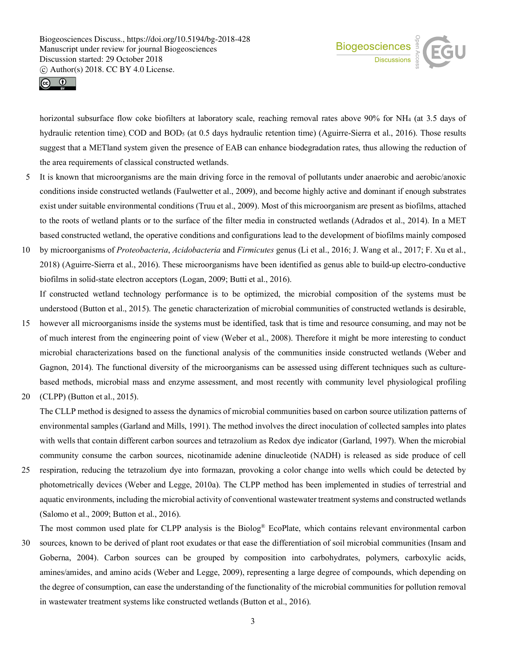



horizontal subsurface flow coke biofilters at laboratory scale, reaching removal rates above 90% for NH4 (at 3.5 days of hydraulic retention time), COD and BOD<sub>5</sub> (at 0.5 days hydraulic retention time) (Aguirre-Sierra et al., 2016). Those results suggest that a METland system given the presence of EAB can enhance biodegradation rates, thus allowing the reduction of the area requirements of classical constructed wetlands.

- 5 It is known that microorganisms are the main driving force in the removal of pollutants under anaerobic and aerobic/anoxic conditions inside constructed wetlands (Faulwetter et al., 2009), and become highly active and dominant if enough substrates exist under suitable environmental conditions (Truu et al., 2009). Most of this microorganism are present as biofilms, attached to the roots of wetland plants or to the surface of the filter media in constructed wetlands (Adrados et al., 2014). In a MET based constructed wetland, the operative conditions and configurations lead to the development of biofilms mainly composed
- 10 by microorganisms of *Proteobacteria*, *Acidobacteria* and *Firmicutes* genus (Li et al., 2016; J. Wang et al., 2017; F. Xu et al., 2018) (Aguirre-Sierra et al., 2016). These microorganisms have been identified as genus able to build-up electro-conductive biofilms in solid-state electron acceptors (Logan, 2009; Butti et al., 2016).

If constructed wetland technology performance is to be optimized, the microbial composition of the systems must be understood (Button et al., 2015). The genetic characterization of microbial communities of constructed wetlands is desirable,

- 15 however all microorganisms inside the systems must be identified, task that is time and resource consuming, and may not be of much interest from the engineering point of view (Weber et al., 2008). Therefore it might be more interesting to conduct microbial characterizations based on the functional analysis of the communities inside constructed wetlands (Weber and Gagnon, 2014). The functional diversity of the microorganisms can be assessed using different techniques such as culturebased methods, microbial mass and enzyme assessment, and most recently with community level physiological profiling
- 20 (CLPP) (Button et al., 2015).

The CLLP method is designed to assess the dynamics of microbial communities based on carbon source utilization patterns of environmental samples (Garland and Mills, 1991). The method involves the direct inoculation of collected samples into plates with wells that contain different carbon sources and tetrazolium as Redox dye indicator (Garland, 1997). When the microbial community consume the carbon sources, nicotinamide adenine dinucleotide (NADH) is released as side produce of cell

25 respiration, reducing the tetrazolium dye into formazan, provoking a color change into wells which could be detected by photometrically devices (Weber and Legge, 2010a). The CLPP method has been implemented in studies of terrestrial and aquatic environments, including the microbial activity of conventional wastewater treatment systems and constructed wetlands (Salomo et al., 2009; Button et al., 2016).

The most common used plate for CLPP analysis is the Biolog® EcoPlate, which contains relevant environmental carbon

30 sources, known to be derived of plant root exudates or that ease the differentiation of soil microbial communities (Insam and Goberna, 2004). Carbon sources can be grouped by composition into carbohydrates, polymers, carboxylic acids, amines/amides, and amino acids (Weber and Legge, 2009), representing a large degree of compounds, which depending on the degree of consumption, can ease the understanding of the functionality of the microbial communities for pollution removal in wastewater treatment systems like constructed wetlands (Button et al., 2016).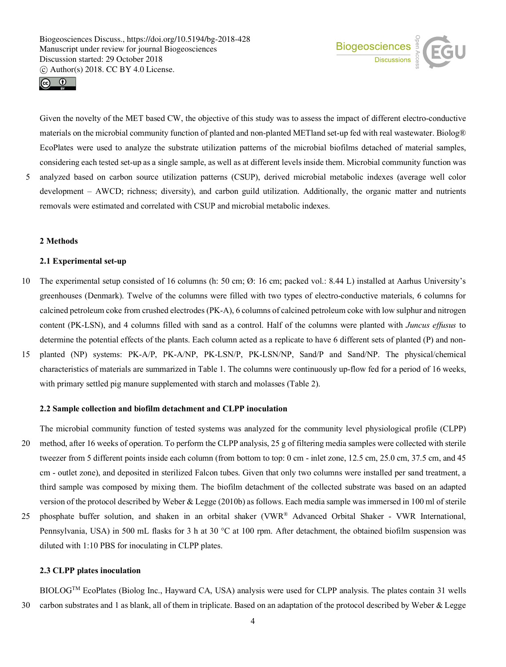



Given the novelty of the MET based CW, the objective of this study was to assess the impact of different electro-conductive materials on the microbial community function of planted and non-planted METland set-up fed with real wastewater. Biolog® EcoPlates were used to analyze the substrate utilization patterns of the microbial biofilms detached of material samples, considering each tested set-up as a single sample, as well as at different levels inside them. Microbial community function was

5 analyzed based on carbon source utilization patterns (CSUP), derived microbial metabolic indexes (average well color development – AWCD; richness; diversity), and carbon guild utilization. Additionally, the organic matter and nutrients removals were estimated and correlated with CSUP and microbial metabolic indexes.

# **2 Methods**

# **2.1 Experimental set-up**

- 10 The experimental setup consisted of 16 columns (h: 50 cm; Ø: 16 cm; packed vol.: 8.44 L) installed at Aarhus University's greenhouses (Denmark). Twelve of the columns were filled with two types of electro-conductive materials, 6 columns for calcined petroleum coke from crushed electrodes (PK-A), 6 columns of calcined petroleum coke with low sulphur and nitrogen content (PK-LSN), and 4 columns filled with sand as a control. Half of the columns were planted with *Juncus effusus* to determine the potential effects of the plants. Each column acted as a replicate to have 6 different sets of planted (P) and non-
- 15 planted (NP) systems: PK-A/P, PK-A/NP, PK-LSN/P, PK-LSN/NP, Sand/P and Sand/NP. The physical/chemical characteristics of materials are summarized in Table 1. The columns were continuously up-flow fed for a period of 16 weeks, with primary settled pig manure supplemented with starch and molasses (Table 2).

# **2.2 Sample collection and biofilm detachment and CLPP inoculation**

- The microbial community function of tested systems was analyzed for the community level physiological profile (CLPP) 20 method, after 16 weeks of operation. To perform the CLPP analysis, 25 g of filtering media samples were collected with sterile tweezer from 5 different points inside each column (from bottom to top: 0 cm - inlet zone, 12.5 cm, 25.0 cm, 37.5 cm, and 45 cm - outlet zone), and deposited in sterilized Falcon tubes. Given that only two columns were installed per sand treatment, a third sample was composed by mixing them. The biofilm detachment of the collected substrate was based on an adapted version of the protocol described by Weber & Legge (2010b) as follows. Each media sample was immersed in 100 ml of sterile
- 25 phosphate buffer solution, and shaken in an orbital shaker (VWR® Advanced Orbital Shaker VWR International, Pennsylvania, USA) in 500 mL flasks for 3 h at 30 °C at 100 rpm. After detachment, the obtained biofilm suspension was diluted with 1:10 PBS for inoculating in CLPP plates.

# **2.3 CLPP plates inoculation**

BIOLOGTM EcoPlates (Biolog Inc., Hayward CA, USA) analysis were used for CLPP analysis. The plates contain 31 wells 30 carbon substrates and 1 as blank, all of them in triplicate. Based on an adaptation of the protocol described by Weber & Legge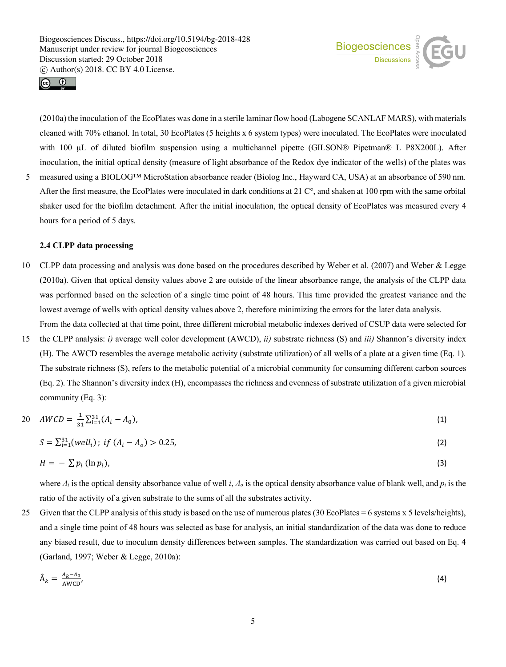



(2010a) the inoculation of the EcoPlates was done in a sterile laminar flow hood (Labogene SCANLAF MARS), with materials cleaned with 70% ethanol. In total, 30 EcoPlates (5 heights x 6 system types) were inoculated. The EcoPlates were inoculated with 100 µL of diluted biofilm suspension using a multichannel pipette (GILSON® Pipetman® L P8X200L). After inoculation, the initial optical density (measure of light absorbance of the Redox dye indicator of the wells) of the plates was

5 measured using a BIOLOG™ MicroStation absorbance reader (Biolog Inc., Hayward CA, USA) at an absorbance of 590 nm. After the first measure, the EcoPlates were inoculated in dark conditions at 21 C°, and shaken at 100 rpm with the same orbital shaker used for the biofilm detachment. After the initial inoculation, the optical density of EcoPlates was measured every 4 hours for a period of 5 days.

## **2.4 CLPP data processing**

- 10 CLPP data processing and analysis was done based on the procedures described by Weber et al. (2007) and Weber & Legge (2010a). Given that optical density values above 2 are outside of the linear absorbance range, the analysis of the CLPP data was performed based on the selection of a single time point of 48 hours. This time provided the greatest variance and the lowest average of wells with optical density values above 2, therefore minimizing the errors for the later data analysis. From the data collected at that time point, three different microbial metabolic indexes derived of CSUP data were selected for
- 15 the CLPP analysis: *i)* average well color development (AWCD), *ii)* substrate richness (S) and *iii)* Shannon's diversity index (H). The AWCD resembles the average metabolic activity (substrate utilization) of all wells of a plate at a given time (Eq. 1). The substrate richness (S), refers to the metabolic potential of a microbial community for consuming different carbon sources (Eq. 2). The Shannon's diversity index (H), encompasses the richness and evenness of substrate utilization of a given microbial community (Eq. 3):

$$
20 \quad AWCD = \frac{1}{31} \sum_{i=1}^{31} (A_i - A_0), \tag{1}
$$

$$
S = \sum_{i=1}^{31} (well_i); \text{ if } (A_i - A_o) > 0.25,
$$
 (2)

$$
H = -\sum p_i (\ln p_i), \tag{3}
$$

where  $A_i$  is the optical density absorbance value of well *i*,  $A_o$  is the optical density absorbance value of blank well, and  $p_i$  is the ratio of the activity of a given substrate to the sums of all the substrates activity.

25 Given that the CLPP analysis of this study is based on the use of numerous plates (30 EcoPlates = 6 systems x 5 levels/heights), and a single time point of 48 hours was selected as base for analysis, an initial standardization of the data was done to reduce any biased result, due to inoculum density differences between samples. The standardization was carried out based on Eq. 4 (Garland, 1997; Weber & Legge, 2010a):

$$
\hat{A}_k = \frac{A_k - A_0}{A W C D},\tag{4}
$$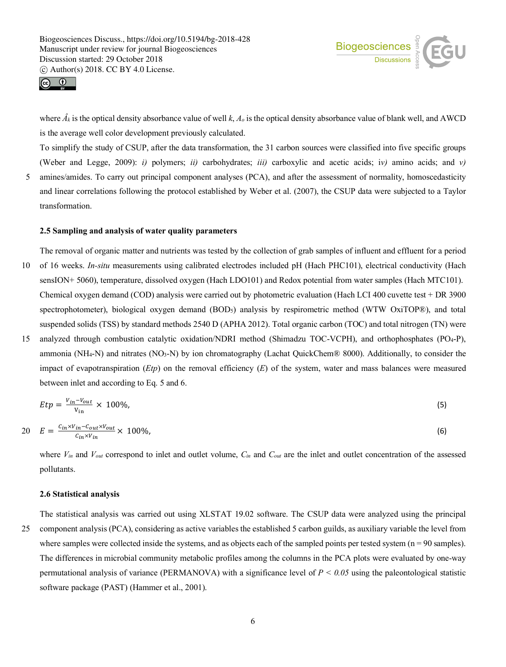



where *Âk* is the optical density absorbance value of well *k*, *Ao* is the optical density absorbance value of blank well, and AWCD is the average well color development previously calculated.

To simplify the study of CSUP, after the data transformation, the 31 carbon sources were classified into five specific groups (Weber and Legge, 2009): *i)* polymers; *ii)* carbohydrates; *iii)* carboxylic and acetic acids; i*v)* amino acids; and *v)*

5 amines/amides. To carry out principal component analyses (PCA), and after the assessment of normality, homoscedasticity and linear correlations following the protocol established by Weber et al. (2007), the CSUP data were subjected to a Taylor transformation.

## **2.5 Sampling and analysis of water quality parameters**

The removal of organic matter and nutrients was tested by the collection of grab samples of influent and effluent for a period

- 10 of 16 weeks. *In-situ* measurements using calibrated electrodes included pH (Hach PHC101), electrical conductivity (Hach sensION+ 5060), temperature, dissolved oxygen (Hach LDO101) and Redox potential from water samples (Hach MTC101). Chemical oxygen demand (COD) analysis were carried out by photometric evaluation (Hach LCI 400 cuvette test + DR 3900 spectrophotometer), biological oxygen demand (BOD<sub>5</sub>) analysis by respirometric method (WTW OxiTOP®), and total suspended solids (TSS) by standard methods 2540 D (APHA 2012). Total organic carbon (TOC) and total nitrogen (TN) were
- 15 analyzed through combustion catalytic oxidation/NDRI method (Shimadzu TOC-VCPH), and orthophosphates (PO4-P), ammonia (NH4-N) and nitrates (NO3-N) by ion chromatography (Lachat QuickChem® 8000). Additionally, to consider the impact of evapotranspiration (*Etp*) on the removal efficiency (*E*) of the system, water and mass balances were measured between inlet and according to Eq. 5 and 6.

$$
Etp = \frac{V_{in} - V_{out}}{V_{in}} \times 100\%,\tag{5}
$$

$$
20 \t E = \frac{c_{in} \times v_{in} - c_{out} \times v_{out}}{c_{in} \times v_{in}} \times 100\%,
$$
\n
$$
(6)
$$

where *Vin* and *Vout* correspond to inlet and outlet volume, *Cin* and *Cout* are the inlet and outlet concentration of the assessed pollutants.

#### **2.6 Statistical analysis**

The statistical analysis was carried out using XLSTAT 19.02 software. The CSUP data were analyzed using the principal 25 component analysis (PCA), considering as active variables the established 5 carbon guilds, as auxiliary variable the level from where samples were collected inside the systems, and as objects each of the sampled points per tested system  $(n = 90 \text{ samples})$ . The differences in microbial community metabolic profiles among the columns in the PCA plots were evaluated by one-way permutational analysis of variance (PERMANOVA) with a significance level of  $P < 0.05$  using the paleontological statistic software package (PAST) (Hammer et al., 2001).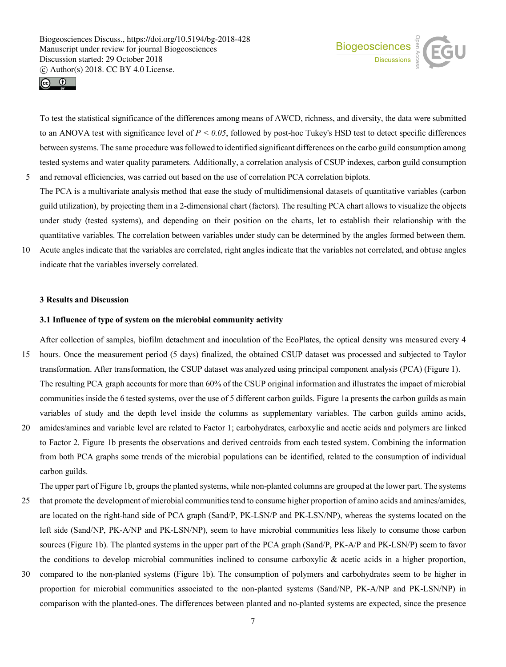



To test the statistical significance of the differences among means of AWCD, richness, and diversity, the data were submitted to an ANOVA test with significance level of  $P < 0.05$ , followed by post-hoc Tukey's HSD test to detect specific differences between systems. The same procedure was followed to identified significant differences on the carbo guild consumption among tested systems and water quality parameters. Additionally, a correlation analysis of CSUP indexes, carbon guild consumption 5 and removal efficiencies, was carried out based on the use of correlation PCA correlation biplots.

- The PCA is a multivariate analysis method that ease the study of multidimensional datasets of quantitative variables (carbon guild utilization), by projecting them in a 2-dimensional chart (factors). The resulting PCA chart allows to visualize the objects under study (tested systems), and depending on their position on the charts, let to establish their relationship with the quantitative variables. The correlation between variables under study can be determined by the angles formed between them.
- 10 Acute angles indicate that the variables are correlated, right angles indicate that the variables not correlated, and obtuse angles indicate that the variables inversely correlated.

## **3 Results and Discussion**

#### **3.1 Influence of type of system on the microbial community activity**

After collection of samples, biofilm detachment and inoculation of the EcoPlates, the optical density was measured every 4 15 hours. Once the measurement period (5 days) finalized, the obtained CSUP dataset was processed and subjected to Taylor

- transformation. After transformation, the CSUP dataset was analyzed using principal component analysis (PCA) (Figure 1). The resulting PCA graph accounts for more than 60% of the CSUP original information and illustrates the impact of microbial communities inside the 6 tested systems, over the use of 5 different carbon guilds. Figure 1a presents the carbon guilds as main variables of study and the depth level inside the columns as supplementary variables. The carbon guilds amino acids,
- 20 amides/amines and variable level are related to Factor 1; carbohydrates, carboxylic and acetic acids and polymers are linked to Factor 2. Figure 1b presents the observations and derived centroids from each tested system. Combining the information from both PCA graphs some trends of the microbial populations can be identified, related to the consumption of individual carbon guilds.

The upper part of Figure 1b, groups the planted systems, while non-planted columns are grouped at the lower part. The systems

- 25 that promote the development of microbial communitiestend to consume higher proportion of amino acids and amines/amides, are located on the right-hand side of PCA graph (Sand/P, PK-LSN/P and PK-LSN/NP), whereas the systems located on the left side (Sand/NP, PK-A/NP and PK-LSN/NP), seem to have microbial communities less likely to consume those carbon sources (Figure 1b). The planted systems in the upper part of the PCA graph (Sand/P, PK-A/P and PK-LSN/P) seem to favor the conditions to develop microbial communities inclined to consume carboxylic  $\&$  acetic acids in a higher proportion,
- 30 compared to the non-planted systems (Figure 1b). The consumption of polymers and carbohydrates seem to be higher in proportion for microbial communities associated to the non-planted systems (Sand/NP, PK-A/NP and PK-LSN/NP) in comparison with the planted-ones. The differences between planted and no-planted systems are expected, since the presence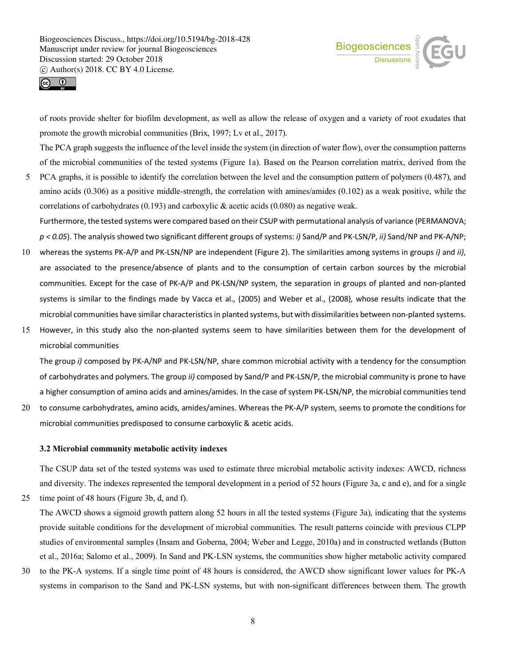



of roots provide shelter for biofilm development, as well as allow the release of oxygen and a variety of root exudates that promote the growth microbial communities (Brix, 1997; Lv et al., 2017).

The PCA graph suggests the influence of the level inside the system (in direction of water flow), over the consumption patterns of the microbial communities of the tested systems (Figure 1a). Based on the Pearson correlation matrix, derived from the

5 PCA graphs, it is possible to identify the correlation between the level and the consumption pattern of polymers (0.487), and amino acids (0.306) as a positive middle-strength, the correlation with amines/amides (0.102) as a weak positive, while the correlations of carbohydrates (0.193) and carboxylic  $\&$  acetic acids (0.080) as negative weak. Furthermore, the tested systems were compared based on their CSUP with permutational analysis of variance (PERMANOVA;

*p < 0.05*). The analysis showed two significant different groups of systems: *i)* Sand/P and PK-LSN/P, *ii)* Sand/NP and PK-A/NP;

- 10 whereas the systems PK-A/P and PK-LSN/NP are independent (Figure 2). The similarities among systems in groups *i)* and *ii)*, are associated to the presence/absence of plants and to the consumption of certain carbon sources by the microbial communities. Except for the case of PK-A/P and PK-LSN/NP system, the separation in groups of planted and non-planted systems is similar to the findings made by Vacca et al., (2005) and Weber et al., (2008), whose results indicate that the microbial communities have similar characteristics in planted systems, but with dissimilarities between non-planted systems.
- 15 However, in this study also the non-planted systems seem to have similarities between them for the development of microbial communities

The group *i)* composed by PK-A/NP and PK-LSN/NP, share common microbial activity with a tendency for the consumption of carbohydrates and polymers. The group *ii)* composed by Sand/P and PK-LSN/P, the microbial community is prone to have a higher consumption of amino acids and amines/amides. In the case of system PK-LSN/NP, the microbial communities tend

20 to consume carbohydrates, amino acids, amides/amines. Whereas the PK-A/P system, seems to promote the conditions for microbial communities predisposed to consume carboxylic & acetic acids.

# **3.2 Microbial community metabolic activity indexes**

The CSUP data set of the tested systems was used to estimate three microbial metabolic activity indexes: AWCD, richness and diversity. The indexes represented the temporal development in a period of 52 hours (Figure 3a, c and e), and for a single

25 time point of 48 hours (Figure 3b, d, and f).

The AWCD shows a sigmoid growth pattern along 52 hours in all the tested systems (Figure 3a), indicating that the systems provide suitable conditions for the development of microbial communities. The result patterns coincide with previous CLPP studies of environmental samples (Insam and Goberna, 2004; Weber and Legge, 2010a) and in constructed wetlands (Button et al., 2016a; Salomo et al., 2009). In Sand and PK-LSN systems, the communities show higher metabolic activity compared

30 to the PK-A systems. If a single time point of 48 hours is considered, the AWCD show significant lower values for PK-A systems in comparison to the Sand and PK-LSN systems, but with non-significant differences between them. The growth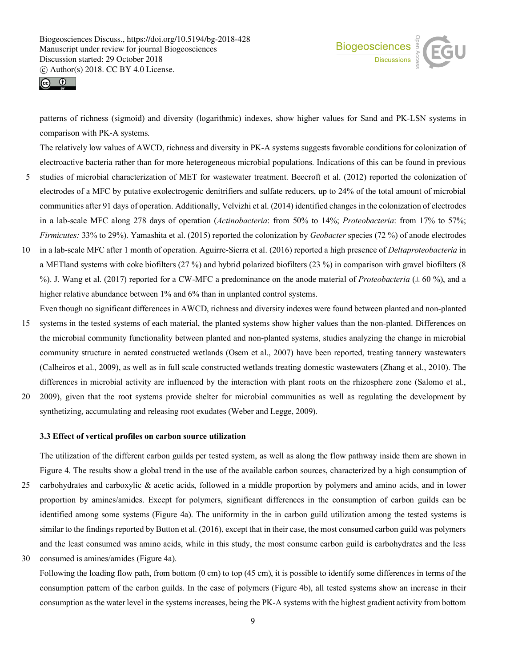



patterns of richness (sigmoid) and diversity (logarithmic) indexes, show higher values for Sand and PK-LSN systems in comparison with PK-A systems.

The relatively low values of AWCD, richness and diversity in PK-A systems suggests favorable conditions for colonization of electroactive bacteria rather than for more heterogeneous microbial populations. Indications of this can be found in previous

- 5 studies of microbial characterization of MET for wastewater treatment. Beecroft et al. (2012) reported the colonization of electrodes of a MFC by putative exolectrogenic denitrifiers and sulfate reducers, up to 24% of the total amount of microbial communities after 91 days of operation. Additionally, Velvizhi et al. (2014) identified changes in the colonization of electrodes in a lab-scale MFC along 278 days of operation (*Actinobacteria*: from 50% to 14%; *Proteobacteria*: from 17% to 57%; *Firmicutes:* 33% to 29%). Yamashita et al. (2015) reported the colonization by *Geobacter* species (72 %) of anode electrodes
- 10 in a lab-scale MFC after 1 month of operation. Aguirre-Sierra et al. (2016) reported a high presence of *Deltaproteobacteria* in a METland systems with coke biofilters (27 %) and hybrid polarized biofilters (23 %) in comparison with gravel biofilters (8 %). J. Wang et al. (2017) reported for a CW-MFC a predominance on the anode material of *Proteobacteria* (± 60 %), and a higher relative abundance between 1% and 6% than in unplanted control systems.
- Even though no significant differences in AWCD, richness and diversity indexes were found between planted and non-planted 15 systems in the tested systems of each material, the planted systems show higher values than the non-planted. Differences on the microbial community functionality between planted and non-planted systems, studies analyzing the change in microbial community structure in aerated constructed wetlands (Osem et al., 2007) have been reported, treating tannery wastewaters (Calheiros et al., 2009), as well as in full scale constructed wetlands treating domestic wastewaters (Zhang et al., 2010). The differences in microbial activity are influenced by the interaction with plant roots on the rhizosphere zone (Salomo et al.,
- 20 2009), given that the root systems provide shelter for microbial communities as well as regulating the development by synthetizing, accumulating and releasing root exudates (Weber and Legge, 2009).

# **3.3 Effect of vertical profiles on carbon source utilization**

The utilization of the different carbon guilds per tested system, as well as along the flow pathway inside them are shown in Figure 4. The results show a global trend in the use of the available carbon sources, characterized by a high consumption of 25 carbohydrates and carboxylic & acetic acids, followed in a middle proportion by polymers and amino acids, and in lower proportion by amines/amides. Except for polymers, significant differences in the consumption of carbon guilds can be identified among some systems (Figure 4a). The uniformity in the in carbon guild utilization among the tested systems is similar to the findings reported by Button et al. (2016), except that in their case, the most consumed carbon guild was polymers and the least consumed was amino acids, while in this study, the most consume carbon guild is carbohydrates and the less

30 consumed is amines/amides (Figure 4a).

Following the loading flow path, from bottom (0 cm) to top (45 cm), it is possible to identify some differences in terms of the consumption pattern of the carbon guilds. In the case of polymers (Figure 4b), all tested systems show an increase in their consumption as the water level in the systems increases, being the PK-A systems with the highest gradient activity from bottom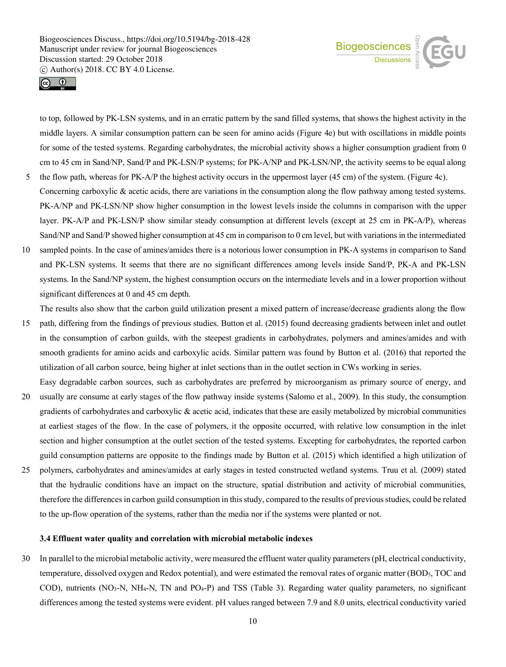



to top, followed by PK-LSN systems, and in an erratic pattern by the sand filled systems, that shows the highest activity in the middle layers. A similar consumption pattern can be seen for amino acids (Figure 4e) but with oscillations in middle points for some of the tested systems. Regarding carbohydrates, the microbial activity shows a higher consumption gradient from 0 cm to 45 cm in Sand/NP, Sand/P and PK-LSN/P systems; for PK-A/NP and PK-LSN/NP, the activity seems to be equal along 5 the flow path, whereas for PK-A/P the highest activity occurs in the uppermost layer (45 cm) of the system. (Figure 4c).

- Concerning carboxylic  $&$  acetic acids, there are variations in the consumption along the flow pathway among tested systems. PK-A/NP and PK-LSN/NP show higher consumption in the lowest levels inside the columns in comparison with the upper layer. PK-A/P and PK-LSN/P show similar steady consumption at different levels (except at 25 cm in PK-A/P), whereas Sand/NP and Sand/P showed higher consumption at 45 cm in comparison to 0 cm level, but with variations in the intermediated
- 10 sampled points. In the case of amines/amides there is a notorious lower consumption in PK-A systems in comparison to Sand and PK-LSN systems. It seems that there are no significant differences among levels inside Sand/P, PK-A and PK-LSN systems. In the Sand/NP system, the highest consumption occurs on the intermediate levels and in a lower proportion without significant differences at 0 and 45 cm depth.

The results also show that the carbon guild utilization present a mixed pattern of increase/decrease gradients along the flow 15 path, differing from the findings of previous studies. Button et al. (2015) found decreasing gradients between inlet and outlet in the consumption of carbon guilds, with the steepest gradients in carbohydrates, polymers and amines/amides and with smooth gradients for amino acids and carboxylic acids. Similar pattern was found by Button et al. (2016) that reported the utilization of all carbon source, being higher at inlet sections than in the outlet section in CWs working in series.

Easy degradable carbon sources, such as carbohydrates are preferred by microorganism as primary source of energy, and 20 usually are consume at early stages of the flow pathway inside systems (Salomo et al., 2009). In this study, the consumption gradients of carbohydrates and carboxylic  $\&$  acetic acid, indicates that these are easily metabolized by microbial communities at earliest stages of the flow. In the case of polymers, it the opposite occurred, with relative low consumption in the inlet section and higher consumption at the outlet section of the tested systems. Excepting for carbohydrates, the reported carbon

guild consumption patterns are opposite to the findings made by Button et al. (2015) which identified a high utilization of

25 polymers, carbohydrates and amines/amides at early stages in tested constructed wetland systems. Truu et al. (2009) stated that the hydraulic conditions have an impact on the structure, spatial distribution and activity of microbial communities, therefore the differences in carbon guild consumption in this study, compared to the results of previous studies, could be related to the up-flow operation of the systems, rather than the media nor if the systems were planted or not.

## **3.4 Effluent water quality and correlation with microbial metabolic indexes**

30 In parallel to the microbial metabolic activity, were measured the effluent water quality parameters (pH, electrical conductivity, temperature, dissolved oxygen and Redox potential), and were estimated the removal rates of organic matter (BOD5, TOC and COD), nutrients (NO3-N, NH4-N, TN and PO4-P) and TSS (Table 3). Regarding water quality parameters, no significant differences among the tested systems were evident. pH values ranged between 7.9 and 8.0 units, electrical conductivity varied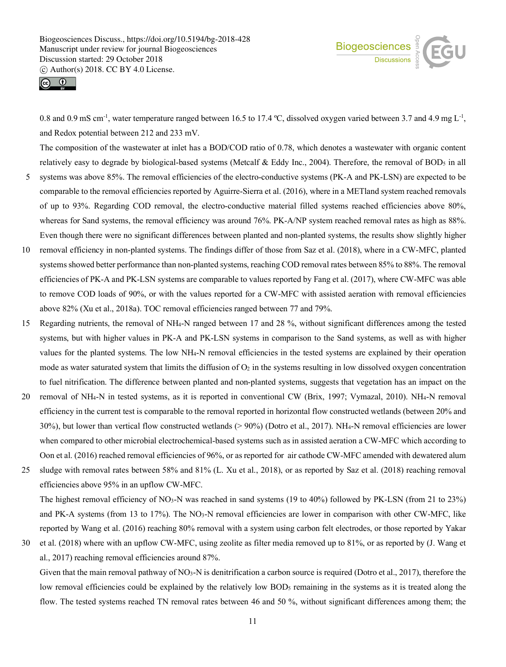



0.8 and 0.9 mS cm<sup>-1</sup>, water temperature ranged between 16.5 to 17.4 °C, dissolved oxygen varied between 3.7 and 4.9 mg L<sup>-1</sup>, and Redox potential between 212 and 233 mV.

The composition of the wastewater at inlet has a BOD/COD ratio of 0.78, which denotes a wastewater with organic content relatively easy to degrade by biological-based systems (Metcalf & Eddy Inc., 2004). Therefore, the removal of BOD<sub>5</sub> in all

- 5 systems was above 85%. The removal efficiencies of the electro-conductive systems (PK-A and PK-LSN) are expected to be comparable to the removal efficiencies reported by Aguirre-Sierra et al. (2016), where in a METland system reached removals of up to 93%. Regarding COD removal, the electro-conductive material filled systems reached efficiencies above 80%, whereas for Sand systems, the removal efficiency was around 76%. PK-A/NP system reached removal rates as high as 88%. Even though there were no significant differences between planted and non-planted systems, the results show slightly higher
- 10 removal efficiency in non-planted systems. The findings differ of those from Saz et al. (2018), where in a CW-MFC, planted systems showed better performance than non-planted systems, reaching COD removal rates between 85% to 88%. The removal efficiencies of PK-A and PK-LSN systems are comparable to values reported by Fang et al. (2017), where CW-MFC was able to remove COD loads of 90%, or with the values reported for a CW-MFC with assisted aeration with removal efficiencies above 82% (Xu et al., 2018a). TOC removal efficiencies ranged between 77 and 79%.
- 15 Regarding nutrients, the removal of NH4-N ranged between 17 and 28 %, without significant differences among the tested systems, but with higher values in PK-A and PK-LSN systems in comparison to the Sand systems, as well as with higher values for the planted systems. The low NH4-N removal efficiencies in the tested systems are explained by their operation mode as water saturated system that limits the diffusion of  $O<sub>2</sub>$  in the systems resulting in low dissolved oxygen concentration to fuel nitrification. The difference between planted and non-planted systems, suggests that vegetation has an impact on the
- 20 removal of NH4-N in tested systems, as it is reported in conventional CW (Brix, 1997; Vymazal, 2010). NH4-N removal efficiency in the current test is comparable to the removal reported in horizontal flow constructed wetlands (between 20% and 30%), but lower than vertical flow constructed wetlands (> 90%) (Dotro et al., 2017). NH4-N removal efficiencies are lower when compared to other microbial electrochemical-based systems such as in assisted aeration a CW-MFC which according to Oon et al. (2016) reached removal efficiencies of 96%, or as reported for air cathode CW-MFC amended with dewatered alum
- 25 sludge with removal rates between 58% and 81% (L. Xu et al., 2018), or as reported by Saz et al. (2018) reaching removal efficiencies above 95% in an upflow CW-MFC. The highest removal efficiency of NO<sub>3</sub>-N was reached in sand systems (19 to 40%) followed by PK-LSN (from 21 to 23%) and PK-A systems (from 13 to 17%). The  $NO<sub>3</sub>-N$  removal efficiencies are lower in comparison with other CW-MFC, like reported by Wang et al. (2016) reaching 80% removal with a system using carbon felt electrodes, or those reported by Yakar
- 30 et al. (2018) where with an upflow CW-MFC, using zeolite as filter media removed up to 81%, or as reported by (J. Wang et al., 2017) reaching removal efficiencies around 87%.

Given that the main removal pathway of NO<sub>3</sub>-N is denitrification a carbon source is required (Dotro et al., 2017), therefore the low removal efficiencies could be explained by the relatively low BOD<sub>5</sub> remaining in the systems as it is treated along the flow. The tested systems reached TN removal rates between 46 and 50 %, without significant differences among them; the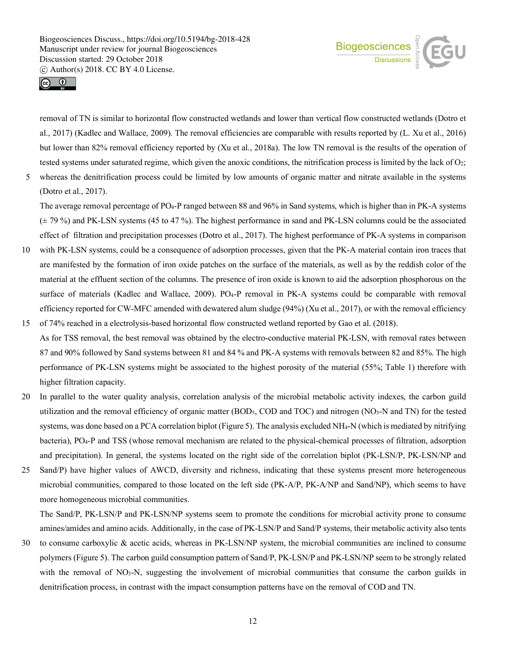



removal of TN is similar to horizontal flow constructed wetlands and lower than vertical flow constructed wetlands (Dotro et al., 2017) (Kadlec and Wallace, 2009). The removal efficiencies are comparable with results reported by (L. Xu et al., 2016) but lower than 82% removal efficiency reported by (Xu et al., 2018a). The low TN removal is the results of the operation of tested systems under saturated regime, which given the anoxic conditions, the nitrification process is limited by the lack of  $O_2$ ;

5 whereas the denitrification process could be limited by low amounts of organic matter and nitrate available in the systems (Dotro et al., 2017).

The average removal percentage of PO4-P ranged between 88 and 96% in Sand systems, which is higher than in PK-A systems (± 79 %) and PK-LSN systems (45 to 47 %). The highest performance in sand and PK-LSN columns could be the associated effect of filtration and precipitation processes (Dotro et al., 2017). The highest performance of PK-A systems in comparison

- 10 with PK-LSN systems, could be a consequence of adsorption processes, given that the PK-A material contain iron traces that are manifested by the formation of iron oxide patches on the surface of the materials, as well as by the reddish color of the material at the effluent section of the columns. The presence of iron oxide is known to aid the adsorption phosphorous on the surface of materials (Kadlec and Wallace, 2009). PO4-P removal in PK-A systems could be comparable with removal efficiency reported for CW-MFC amended with dewatered alum sludge (94%) (Xu et al., 2017), or with the removal efficiency
- 15 of 74% reached in a electrolysis-based horizontal flow constructed wetland reported by Gao et al. (2018). As for TSS removal, the best removal was obtained by the electro-conductive material PK-LSN, with removal rates between 87 and 90% followed by Sand systems between 81 and 84 % and PK-A systems with removals between 82 and 85%. The high performance of PK-LSN systems might be associated to the highest porosity of the material (55%; Table 1) therefore with higher filtration capacity.
- 20 In parallel to the water quality analysis, correlation analysis of the microbial metabolic activity indexes, the carbon guild utilization and the removal efficiency of organic matter (BOD5, COD and TOC) and nitrogen (NO3-N and TN) for the tested systems, was done based on a PCA correlation biplot (Figure 5). The analysis excluded NH4-N (which is mediated by nitrifying bacteria), PO4-P and TSS (whose removal mechanism are related to the physical-chemical processes of filtration, adsorption and precipitation). In general, the systems located on the right side of the correlation biplot (PK-LSN/P, PK-LSN/NP and
- 25 Sand/P) have higher values of AWCD, diversity and richness, indicating that these systems present more heterogeneous microbial communities, compared to those located on the left side (PK-A/P, PK-A/NP and Sand/NP), which seems to have more homogeneous microbial communities.

The Sand/P, PK-LSN/P and PK-LSN/NP systems seem to promote the conditions for microbial activity prone to consume amines/amides and amino acids. Additionally, in the case of PK-LSN/P and Sand/P systems, their metabolic activity also tents

30 to consume carboxylic & acetic acids, whereas in PK-LSN/NP system, the microbial communities are inclined to consume polymers (Figure 5). The carbon guild consumption pattern of Sand/P, PK-LSN/P and PK-LSN/NP seem to be strongly related with the removal of NO<sub>3</sub>-N, suggesting the involvement of microbial communities that consume the carbon guilds in denitrification process, in contrast with the impact consumption patterns have on the removal of COD and TN.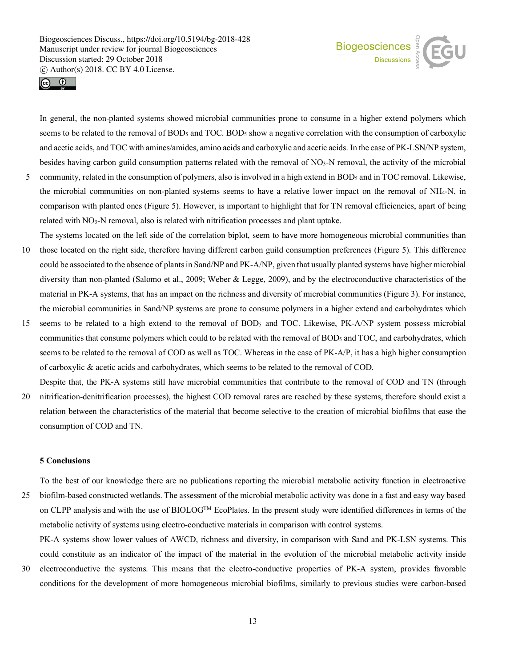



In general, the non-planted systems showed microbial communities prone to consume in a higher extend polymers which seems to be related to the removal of BOD<sub>5</sub> and TOC. BOD<sub>5</sub> show a negative correlation with the consumption of carboxylic and acetic acids, and TOC with amines/amides, amino acids and carboxylic and acetic acids. In the case of PK-LSN/NP system, besides having carbon guild consumption patterns related with the removal of NO3-N removal, the activity of the microbial

- 5 community, related in the consumption of polymers, also is involved in a high extend in BOD<sub>5</sub> and in TOC removal. Likewise, the microbial communities on non-planted systems seems to have a relative lower impact on the removal of NH4-N, in comparison with planted ones (Figure 5). However, is important to highlight that for TN removal efficiencies, apart of being related with NO3-N removal, also is related with nitrification processes and plant uptake.
- The systems located on the left side of the correlation biplot, seem to have more homogeneous microbial communities than 10 those located on the right side, therefore having different carbon guild consumption preferences (Figure 5). This difference could be associated to the absence of plants in Sand/NP and PK-A/NP, given that usually planted systems have higher microbial diversity than non-planted (Salomo et al., 2009; Weber & Legge, 2009), and by the electroconductive characteristics of the material in PK-A systems, that has an impact on the richness and diversity of microbial communities (Figure 3). For instance, the microbial communities in Sand/NP systems are prone to consume polymers in a higher extend and carbohydrates which
- 15 seems to be related to a high extend to the removal of BOD5 and TOC. Likewise, PK-A/NP system possess microbial communities that consume polymers which could to be related with the removal of BOD5 and TOC, and carbohydrates, which seems to be related to the removal of COD as well as TOC. Whereas in the case of PK-A/P, it has a high higher consumption of carboxylic & acetic acids and carbohydrates, which seems to be related to the removal of COD.
- Despite that, the PK-A systems still have microbial communities that contribute to the removal of COD and TN (through 20 nitrification-denitrification processes), the highest COD removal rates are reached by these systems, therefore should exist a relation between the characteristics of the material that become selective to the creation of microbial biofilms that ease the consumption of COD and TN.

## **5 Conclusions**

To the best of our knowledge there are no publications reporting the microbial metabolic activity function in electroactive 25 biofilm-based constructed wetlands. The assessment of the microbial metabolic activity was done in a fast and easy way based on CLPP analysis and with the use of BIOLOGTM EcoPlates. In the present study were identified differences in terms of the metabolic activity of systems using electro-conductive materials in comparison with control systems.

PK-A systems show lower values of AWCD, richness and diversity, in comparison with Sand and PK-LSN systems. This could constitute as an indicator of the impact of the material in the evolution of the microbial metabolic activity inside 30 electroconductive the systems. This means that the electro-conductive properties of PK-A system, provides favorable

conditions for the development of more homogeneous microbial biofilms, similarly to previous studies were carbon-based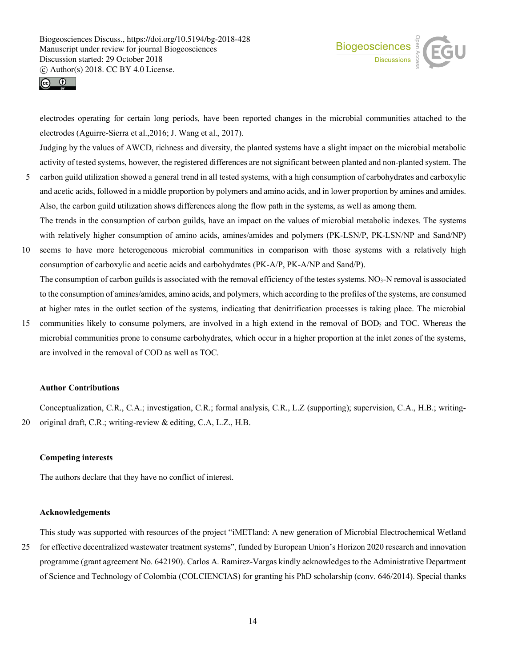



electrodes operating for certain long periods, have been reported changes in the microbial communities attached to the electrodes (Aguirre-Sierra et al.,2016; J. Wang et al., 2017).

Judging by the values of AWCD, richness and diversity, the planted systems have a slight impact on the microbial metabolic activity of tested systems, however, the registered differences are not significant between planted and non-planted system. The

- 5 carbon guild utilization showed a general trend in all tested systems, with a high consumption of carbohydrates and carboxylic and acetic acids, followed in a middle proportion by polymers and amino acids, and in lower proportion by amines and amides. Also, the carbon guild utilization shows differences along the flow path in the systems, as well as among them. The trends in the consumption of carbon guilds, have an impact on the values of microbial metabolic indexes. The systems
- with relatively higher consumption of amino acids, amines/amides and polymers (PK-LSN/P, PK-LSN/NP and Sand/NP) 10 seems to have more heterogeneous microbial communities in comparison with those systems with a relatively high consumption of carboxylic and acetic acids and carbohydrates (PK-A/P, PK-A/NP and Sand/P).

The consumption of carbon guilds is associated with the removal efficiency of the testes systems.  $NO<sub>3</sub>-N$  removal is associated to the consumption of amines/amides, amino acids, and polymers, which according to the profiles of the systems, are consumed at higher rates in the outlet section of the systems, indicating that denitrification processes is taking place. The microbial

15 communities likely to consume polymers, are involved in a high extend in the removal of BOD5 and TOC. Whereas the microbial communities prone to consume carbohydrates, which occur in a higher proportion at the inlet zones of the systems, are involved in the removal of COD as well as TOC.

# **Author Contributions**

Conceptualization, C.R., C.A.; investigation, C.R.; formal analysis, C.R., L.Z (supporting); supervision, C.A., H.B.; writing-20 original draft, C.R.; writing-review & editing, C.A, L.Z., H.B.

## **Competing interests**

The authors declare that they have no conflict of interest.

## **Acknowledgements**

This study was supported with resources of the project "iMETland: A new generation of Microbial Electrochemical Wetland 25 for effective decentralized wastewater treatment systems", funded by European Union's Horizon 2020 research and innovation programme (grant agreement No. 642190). Carlos A. Ramirez-Vargas kindly acknowledges to the Administrative Department

of Science and Technology of Colombia (COLCIENCIAS) for granting his PhD scholarship (conv. 646/2014). Special thanks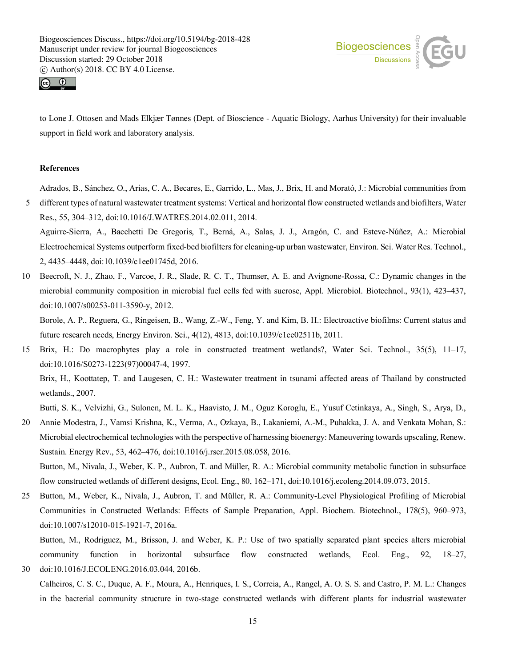



to Lone J. Ottosen and Mads Elkjær Tønnes (Dept. of Bioscience - Aquatic Biology, Aarhus University) for their invaluable support in field work and laboratory analysis.

# **References**

Adrados, B., Sánchez, O., Arias, C. A., Becares, E., Garrido, L., Mas, J., Brix, H. and Morató, J.: Microbial communities from

5 different types of natural wastewater treatment systems: Vertical and horizontal flow constructed wetlands and biofilters, Water Res., 55, 304–312, doi:10.1016/J.WATRES.2014.02.011, 2014. Aguirre-Sierra, A., Bacchetti De Gregoris, T., Berná, A., Salas, J. J., Aragón, C. and Esteve-Núñez, A.: Microbial

Electrochemical Systems outperform fixed-bed biofilters for cleaning-up urban wastewater, Environ. Sci. Water Res. Technol., 2, 4435–4448, doi:10.1039/c1ee01745d, 2016.

10 Beecroft, N. J., Zhao, F., Varcoe, J. R., Slade, R. C. T., Thumser, A. E. and Avignone-Rossa, C.: Dynamic changes in the microbial community composition in microbial fuel cells fed with sucrose, Appl. Microbiol. Biotechnol., 93(1), 423–437, doi:10.1007/s00253-011-3590-y, 2012.

Borole, A. P., Reguera, G., Ringeisen, B., Wang, Z.-W., Feng, Y. and Kim, B. H.: Electroactive biofilms: Current status and future research needs, Energy Environ. Sci., 4(12), 4813, doi:10.1039/c1ee02511b, 2011.

15 Brix, H.: Do macrophytes play a role in constructed treatment wetlands?, Water Sci. Technol., 35(5), 11–17, doi:10.1016/S0273-1223(97)00047-4, 1997.

Brix, H., Koottatep, T. and Laugesen, C. H.: Wastewater treatment in tsunami affected areas of Thailand by constructed wetlands., 2007.

Butti, S. K., Velvizhi, G., Sulonen, M. L. K., Haavisto, J. M., Oguz Koroglu, E., Yusuf Cetinkaya, A., Singh, S., Arya, D.,

20 Annie Modestra, J., Vamsi Krishna, K., Verma, A., Ozkaya, B., Lakaniemi, A.-M., Puhakka, J. A. and Venkata Mohan, S.: Microbial electrochemical technologies with the perspective of harnessing bioenergy: Maneuvering towards upscaling, Renew. Sustain. Energy Rev., 53, 462–476, doi:10.1016/j.rser.2015.08.058, 2016. Button, M., Nivala, J., Weber, K. P., Aubron, T. and Müller, R. A.: Microbial community metabolic function in subsurface

flow constructed wetlands of different designs, Ecol. Eng., 80, 162–171, doi:10.1016/j.ecoleng.2014.09.073, 2015.

25 Button, M., Weber, K., Nivala, J., Aubron, T. and Müller, R. A.: Community-Level Physiological Profiling of Microbial Communities in Constructed Wetlands: Effects of Sample Preparation, Appl. Biochem. Biotechnol., 178(5), 960–973, doi:10.1007/s12010-015-1921-7, 2016a.

Button, M., Rodriguez, M., Brisson, J. and Weber, K. P.: Use of two spatially separated plant species alters microbial community function in horizontal subsurface flow constructed wetlands, Ecol. Eng., 92, 18–27, 30 doi:10.1016/J.ECOLENG.2016.03.044, 2016b.

Calheiros, C. S. C., Duque, A. F., Moura, A., Henriques, I. S., Correia, A., Rangel, A. O. S. S. and Castro, P. M. L.: Changes in the bacterial community structure in two-stage constructed wetlands with different plants for industrial wastewater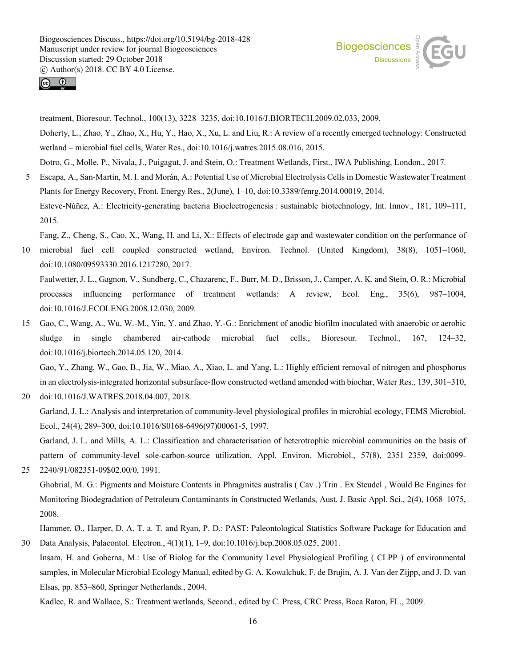



treatment, Bioresour. Technol., 100(13), 3228–3235, doi:10.1016/J.BIORTECH.2009.02.033, 2009. Doherty, L., Zhao, Y., Zhao, X., Hu, Y., Hao, X., Xu, L. and Liu, R.: A review of a recently emerged technology: Constructed wetland – microbial fuel cells, Water Res., doi:10.1016/j.watres.2015.08.016, 2015. Dotro, G., Molle, P., Nivala, J., Puigagut, J. and Stein, O.: Treatment Wetlands, First., IWA Publishing, London., 2017.

5 Escapa, A., San-Martín, M. I. and Morán, A.: Potential Use of Microbial Electrolysis Cells in Domestic Wastewater Treatment Plants for Energy Recovery, Front. Energy Res., 2(June), 1–10, doi:10.3389/fenrg.2014.00019, 2014. Esteve-Núñez, A.: Electricity-generating bacteria Bioelectrogenesis: sustainable biotechnology, Int. Innov., 181, 109–111,

2015.

Fang, Z., Cheng, S., Cao, X., Wang, H. and Li, X.: Effects of electrode gap and wastewater condition on the performance of

- 10 microbial fuel cell coupled constructed wetland, Environ. Technol. (United Kingdom), 38(8), 1051–1060, doi:10.1080/09593330.2016.1217280, 2017. Faulwetter, J. L., Gagnon, V., Sundberg, C., Chazarenc, F., Burr, M. D., Brisson, J., Camper, A. K. and Stein, O. R.: Microbial processes influencing performance of treatment wetlands: A review, Ecol. Eng., 35(6), 987–1004, doi:10.1016/J.ECOLENG.2008.12.030, 2009.
- 15 Gao, C., Wang, A., Wu, W.-M., Yin, Y. and Zhao, Y.-G.: Enrichment of anodic biofilm inoculated with anaerobic or aerobic sludge in single chambered air-cathode microbial fuel cells., Bioresour. Technol., 167, 124–32, doi:10.1016/j.biortech.2014.05.120, 2014.

Gao, Y., Zhang, W., Gao, B., Jia, W., Miao, A., Xiao, L. and Yang, L.: Highly efficient removal of nitrogen and phosphorus in an electrolysis-integrated horizontal subsurface-flow constructed wetland amended with biochar, Water Res., 139, 301–310, 20 doi:10.1016/J.WATRES.2018.04.007, 2018.

Garland, J. L.: Analysis and interpretation of community-level physiological profiles in microbial ecology, FEMS Microbiol. Ecol., 24(4), 289–300, doi:10.1016/S0168-6496(97)00061-5, 1997.

Garland, J. L. and Mills, A. L.: Classification and characterisation of heterotrophic microbial communities on the basis of pattern of community-level sole-carbon-source utilization, Appl. Environ. Microbiol., 57(8), 2351–2359, doi:0099- 25 2240/91/082351-09\$02.00/0, 1991.

Ghobrial, M. G.: Pigments and Moisture Contents in Phragmites australis ( Cav .) Trin . Ex Steudel , Would Be Engines for Monitoring Biodegradation of Petroleum Contaminants in Constructed Wetlands, Aust. J. Basic Appl. Sci., 2(4), 1068–1075, 2008.

Hammer, Ø., Harper, D. A. T. a. T. and Ryan, P. D.: PAST: Paleontological Statistics Software Package for Education and 30 Data Analysis, Palaeontol. Electron., 4(1)(1), 1–9, doi:10.1016/j.bcp.2008.05.025, 2001.

Insam, H. and Goberna, M.: Use of Biolog for the Community Level Physiological Profiling ( CLPP ) of environmental samples, in Molecular Microbial Ecology Manual, edited by G. A. Kowalchuk, F. de Brujin, A. J. Van der Zijpp, and J. D. van Elsas, pp. 853–860, Springer Netherlands., 2004.

Kadlec, R. and Wallace, S.: Treatment wetlands, Second., edited by C. Press, CRC Press, Boca Raton, FL., 2009.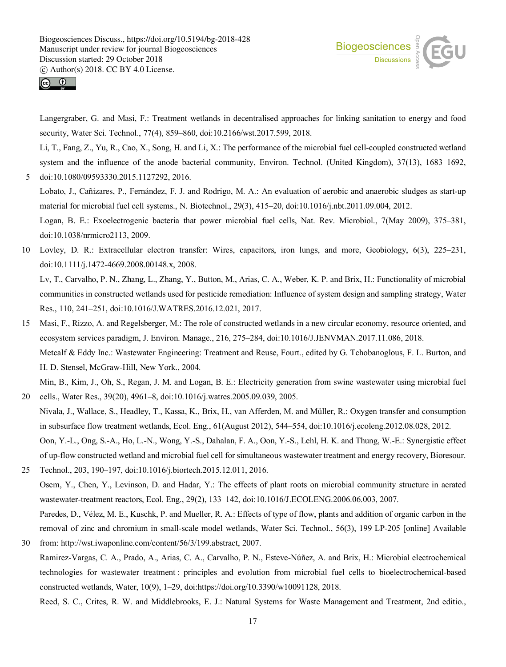



doi:10.1038/nrmicro2113, 2009.

Langergraber, G. and Masi, F.: Treatment wetlands in decentralised approaches for linking sanitation to energy and food security, Water Sci. Technol., 77(4), 859–860, doi:10.2166/wst.2017.599, 2018.

Li, T., Fang, Z., Yu, R., Cao, X., Song, H. and Li, X.: The performance of the microbial fuel cell-coupled constructed wetland system and the influence of the anode bacterial community, Environ. Technol. (United Kingdom), 37(13), 1683–1692, 5 doi:10.1080/09593330.2015.1127292, 2016.

Lobato, J., Cañizares, P., Fernández, F. J. and Rodrigo, M. A.: An evaluation of aerobic and anaerobic sludges as start-up material for microbial fuel cell systems., N. Biotechnol., 29(3), 415–20, doi:10.1016/j.nbt.2011.09.004, 2012. Logan, B. E.: Exoelectrogenic bacteria that power microbial fuel cells, Nat. Rev. Microbiol., 7(May 2009), 375–381,

10 Lovley, D. R.: Extracellular electron transfer: Wires, capacitors, iron lungs, and more, Geobiology, 6(3), 225–231, doi:10.1111/j.1472-4669.2008.00148.x, 2008. Lv, T., Carvalho, P. N., Zhang, L., Zhang, Y., Button, M., Arias, C. A., Weber, K. P. and Brix, H.: Functionality of microbial

communities in constructed wetlands used for pesticide remediation: Influence of system design and sampling strategy, Water Res., 110, 241–251, doi:10.1016/J.WATRES.2016.12.021, 2017.

15 Masi, F., Rizzo, A. and Regelsberger, M.: The role of constructed wetlands in a new circular economy, resource oriented, and ecosystem services paradigm, J. Environ. Manage., 216, 275–284, doi:10.1016/J.JENVMAN.2017.11.086, 2018. Metcalf & Eddy Inc.: Wastewater Engineering: Treatment and Reuse, Fourt., edited by G. Tchobanoglous, F. L. Burton, and H. D. Stensel, McGraw-Hill, New York., 2004.

Min, B., Kim, J., Oh, S., Regan, J. M. and Logan, B. E.: Electricity generation from swine wastewater using microbial fuel 20 cells., Water Res., 39(20), 4961–8, doi:10.1016/j.watres.2005.09.039, 2005.

- Nivala, J., Wallace, S., Headley, T., Kassa, K., Brix, H., van Afferden, M. and Müller, R.: Oxygen transfer and consumption in subsurface flow treatment wetlands, Ecol. Eng., 61(August 2012), 544–554, doi:10.1016/j.ecoleng.2012.08.028, 2012. Oon, Y.-L., Ong, S.-A., Ho, L.-N., Wong, Y.-S., Dahalan, F. A., Oon, Y.-S., Lehl, H. K. and Thung, W.-E.: Synergistic effect of up-flow constructed wetland and microbial fuel cell for simultaneous wastewater treatment and energy recovery, Bioresour.
- 25 Technol., 203, 190–197, doi:10.1016/j.biortech.2015.12.011, 2016. Osem, Y., Chen, Y., Levinson, D. and Hadar, Y.: The effects of plant roots on microbial community structure in aerated wastewater-treatment reactors, Ecol. Eng., 29(2), 133–142, doi:10.1016/J.ECOLENG.2006.06.003, 2007. Paredes, D., Vélez, M. E., Kuschk, P. and Mueller, R. A.: Effects of type of flow, plants and addition of organic carbon in the removal of zinc and chromium in small-scale model wetlands, Water Sci. Technol., 56(3), 199 LP-205 [online] Available
- 30 from: http://wst.iwaponline.com/content/56/3/199.abstract, 2007. Ramirez-Vargas, C. A., Prado, A., Arias, C. A., Carvalho, P. N., Esteve-Núñez, A. and Brix, H.: Microbial electrochemical technologies for wastewater treatment : principles and evolution from microbial fuel cells to bioelectrochemical-based constructed wetlands, Water, 10(9), 1–29, doi:https://doi.org/10.3390/w10091128, 2018.

Reed, S. C., Crites, R. W. and Middlebrooks, E. J.: Natural Systems for Waste Management and Treatment, 2nd editio.,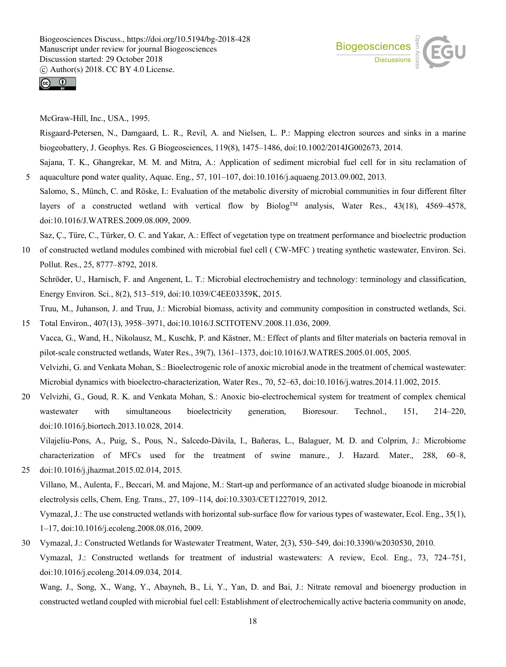



McGraw-Hill, Inc., USA., 1995.

Risgaard-Petersen, N., Damgaard, L. R., Revil, A. and Nielsen, L. P.: Mapping electron sources and sinks in a marine biogeobattery, J. Geophys. Res. G Biogeosciences, 119(8), 1475–1486, doi:10.1002/2014JG002673, 2014.

Sajana, T. K., Ghangrekar, M. M. and Mitra, A.: Application of sediment microbial fuel cell for in situ reclamation of 5 aquaculture pond water quality, Aquac. Eng., 57, 101–107, doi:10.1016/j.aquaeng.2013.09.002, 2013.

Salomo, S., Münch, C. and Röske, I.: Evaluation of the metabolic diversity of microbial communities in four different filter layers of a constructed wetland with vertical flow by Biolog<sup>TM</sup> analysis, Water Res., 43(18), 4569-4578, doi:10.1016/J.WATRES.2009.08.009, 2009.

Saz, Ç., Türe, C., Türker, O. C. and Yakar, A.: Effect of vegetation type on treatment performance and bioelectric production

10 of constructed wetland modules combined with microbial fuel cell ( CW-MFC ) treating synthetic wastewater, Environ. Sci. Pollut. Res., 25, 8777–8792, 2018.

Schröder, U., Harnisch, F. and Angenent, L. T.: Microbial electrochemistry and technology: terminology and classification, Energy Environ. Sci., 8(2), 513–519, doi:10.1039/C4EE03359K, 2015.

Truu, M., Juhanson, J. and Truu, J.: Microbial biomass, activity and community composition in constructed wetlands, Sci. 15 Total Environ., 407(13), 3958–3971, doi:10.1016/J.SCITOTENV.2008.11.036, 2009.

- Vacca, G., Wand, H., Nikolausz, M., Kuschk, P. and Kästner, M.: Effect of plants and filter materials on bacteria removal in pilot-scale constructed wetlands, Water Res., 39(7), 1361–1373, doi:10.1016/J.WATRES.2005.01.005, 2005. Velvizhi, G. and Venkata Mohan, S.: Bioelectrogenic role of anoxic microbial anode in the treatment of chemical wastewater: Microbial dynamics with bioelectro-characterization, Water Res., 70, 52–63, doi:10.1016/j.watres.2014.11.002, 2015.
- 20 Velvizhi, G., Goud, R. K. and Venkata Mohan, S.: Anoxic bio-electrochemical system for treatment of complex chemical wastewater with simultaneous bioelectricity generation, Bioresour. Technol., 151, 214–220, doi:10.1016/j.biortech.2013.10.028, 2014.

Vilajeliu-Pons, A., Puig, S., Pous, N., Salcedo-Dávila, I., Bañeras, L., Balaguer, M. D. and Colprim, J.: Microbiome characterization of MFCs used for the treatment of swine manure., J. Hazard. Mater., 288, 60–8,

- 25 doi:10.1016/j.jhazmat.2015.02.014, 2015. Villano, M., Aulenta, F., Beccari, M. and Majone, M.: Start-up and performance of an activated sludge bioanode in microbial electrolysis cells, Chem. Eng. Trans., 27, 109–114, doi:10.3303/CET1227019, 2012. Vymazal, J.: The use constructed wetlands with horizontal sub-surface flow for various types of wastewater, Ecol. Eng., 35(1), 1–17, doi:10.1016/j.ecoleng.2008.08.016, 2009.
- 30 Vymazal, J.: Constructed Wetlands for Wastewater Treatment, Water, 2(3), 530–549, doi:10.3390/w2030530, 2010. Vymazal, J.: Constructed wetlands for treatment of industrial wastewaters: A review, Ecol. Eng., 73, 724–751, doi:10.1016/j.ecoleng.2014.09.034, 2014.

Wang, J., Song, X., Wang, Y., Abayneh, B., Li, Y., Yan, D. and Bai, J.: Nitrate removal and bioenergy production in constructed wetland coupled with microbial fuel cell: Establishment of electrochemically active bacteria community on anode,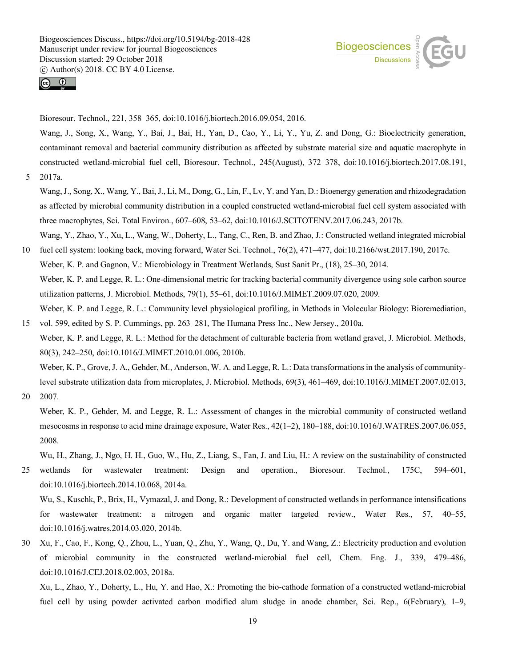



Bioresour. Technol., 221, 358–365, doi:10.1016/j.biortech.2016.09.054, 2016.

Wang, J., Song, X., Wang, Y., Bai, J., Bai, H., Yan, D., Cao, Y., Li, Y., Yu, Z. and Dong, G.: Bioelectricity generation, contaminant removal and bacterial community distribution as affected by substrate material size and aquatic macrophyte in constructed wetland-microbial fuel cell, Bioresour. Technol., 245(August), 372–378, doi:10.1016/j.biortech.2017.08.191, 5 2017a.

Wang, J., Song, X., Wang, Y., Bai, J., Li, M., Dong, G., Lin, F., Lv, Y. and Yan, D.: Bioenergy generation and rhizodegradation as affected by microbial community distribution in a coupled constructed wetland-microbial fuel cell system associated with three macrophytes, Sci. Total Environ., 607–608, 53–62, doi:10.1016/J.SCITOTENV.2017.06.243, 2017b.

Wang, Y., Zhao, Y., Xu, L., Wang, W., Doherty, L., Tang, C., Ren, B. and Zhao, J.: Constructed wetland integrated microbial

10 fuel cell system: looking back, moving forward, Water Sci. Technol., 76(2), 471–477, doi:10.2166/wst.2017.190, 2017c. Weber, K. P. and Gagnon, V.: Microbiology in Treatment Wetlands, Sust Sanit Pr., (18), 25–30, 2014. Weber, K. P. and Legge, R. L.: One-dimensional metric for tracking bacterial community divergence using sole carbon source utilization patterns, J. Microbiol. Methods, 79(1), 55–61, doi:10.1016/J.MIMET.2009.07.020, 2009. Weber, K. P. and Legge, R. L.: Community level physiological profiling, in Methods in Molecular Biology: Bioremediation,

15 vol. 599, edited by S. P. Cummings, pp. 263–281, The Humana Press Inc., New Jersey., 2010a. Weber, K. P. and Legge, R. L.: Method for the detachment of culturable bacteria from wetland gravel, J. Microbiol. Methods, 80(3), 242–250, doi:10.1016/J.MIMET.2010.01.006, 2010b.

Weber, K. P., Grove, J. A., Gehder, M., Anderson, W. A. and Legge, R. L.: Data transformations in the analysis of communitylevel substrate utilization data from microplates, J. Microbiol. Methods, 69(3), 461–469, doi:10.1016/J.MIMET.2007.02.013,

20 2007.

Weber, K. P., Gehder, M. and Legge, R. L.: Assessment of changes in the microbial community of constructed wetland mesocosms in response to acid mine drainage exposure, Water Res., 42(1–2), 180–188, doi:10.1016/J.WATRES.2007.06.055, 2008.

Wu, H., Zhang, J., Ngo, H. H., Guo, W., Hu, Z., Liang, S., Fan, J. and Liu, H.: A review on the sustainability of constructed

- 25 wetlands for wastewater treatment: Design and operation., Bioresour. Technol., 175C, 594–601, doi:10.1016/j.biortech.2014.10.068, 2014a. Wu, S., Kuschk, P., Brix, H., Vymazal, J. and Dong, R.: Development of constructed wetlands in performance intensifications for wastewater treatment: a nitrogen and organic matter targeted review., Water Res., 57, 40–55, doi:10.1016/j.watres.2014.03.020, 2014b.
- 30 Xu, F., Cao, F., Kong, Q., Zhou, L., Yuan, Q., Zhu, Y., Wang, Q., Du, Y. and Wang, Z.: Electricity production and evolution of microbial community in the constructed wetland-microbial fuel cell, Chem. Eng. J., 339, 479–486, doi:10.1016/J.CEJ.2018.02.003, 2018a.

Xu, L., Zhao, Y., Doherty, L., Hu, Y. and Hao, X.: Promoting the bio-cathode formation of a constructed wetland-microbial fuel cell by using powder activated carbon modified alum sludge in anode chamber, Sci. Rep., 6(February), 1–9,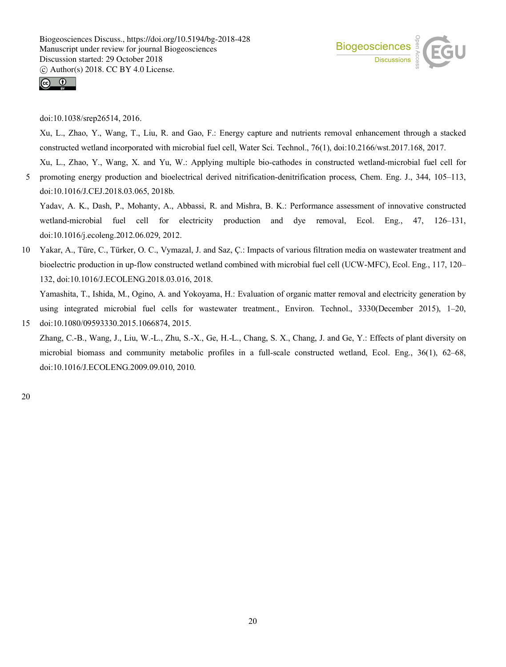



doi:10.1038/srep26514, 2016.

Xu, L., Zhao, Y., Wang, T., Liu, R. and Gao, F.: Energy capture and nutrients removal enhancement through a stacked constructed wetland incorporated with microbial fuel cell, Water Sci. Technol., 76(1), doi:10.2166/wst.2017.168, 2017.

Xu, L., Zhao, Y., Wang, X. and Yu, W.: Applying multiple bio-cathodes in constructed wetland-microbial fuel cell for 5 promoting energy production and bioelectrical derived nitrification-denitrification process, Chem. Eng. J., 344, 105–113, doi:10.1016/J.CEJ.2018.03.065, 2018b.

Yadav, A. K., Dash, P., Mohanty, A., Abbassi, R. and Mishra, B. K.: Performance assessment of innovative constructed wetland-microbial fuel cell for electricity production and dye removal, Ecol. Eng., 47, 126–131, doi:10.1016/j.ecoleng.2012.06.029, 2012.

10 Yakar, A., Türe, C., Türker, O. C., Vymazal, J. and Saz, Ç.: Impacts of various filtration media on wastewater treatment and bioelectric production in up-flow constructed wetland combined with microbial fuel cell (UCW-MFC), Ecol. Eng., 117, 120– 132, doi:10.1016/J.ECOLENG.2018.03.016, 2018.

Yamashita, T., Ishida, M., Ogino, A. and Yokoyama, H.: Evaluation of organic matter removal and electricity generation by using integrated microbial fuel cells for wastewater treatment., Environ. Technol., 3330(December 2015), 1–20, 15 doi:10.1080/09593330.2015.1066874, 2015.

Zhang, C.-B., Wang, J., Liu, W.-L., Zhu, S.-X., Ge, H.-L., Chang, S. X., Chang, J. and Ge, Y.: Effects of plant diversity on microbial biomass and community metabolic profiles in a full-scale constructed wetland, Ecol. Eng., 36(1), 62–68, doi:10.1016/J.ECOLENG.2009.09.010, 2010.

20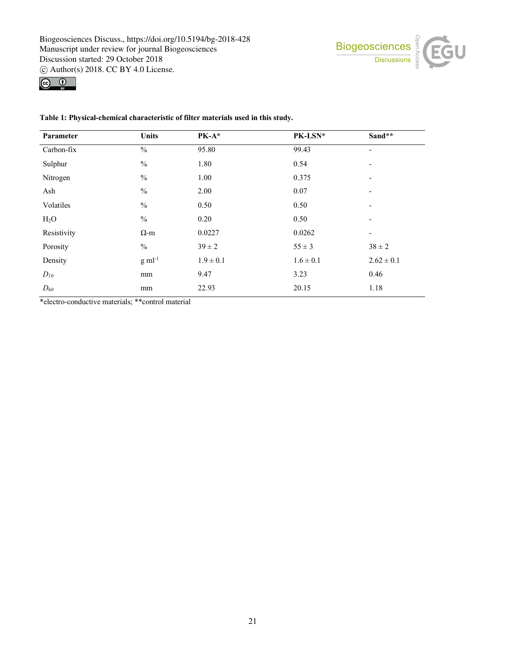



|  | Table 1: Physical-chemical characteristic of filter materials used in this study. |  |  |
|--|-----------------------------------------------------------------------------------|--|--|
|  |                                                                                   |  |  |

| Parameter   | <b>Units</b>   | PK-A*         | PK-LSN*       | Sand**                   |
|-------------|----------------|---------------|---------------|--------------------------|
| Carbon-fix  | $\frac{0}{0}$  | 95.80         | 99.43         | $\overline{\phantom{a}}$ |
| Sulphur     | $\frac{0}{0}$  | 1.80          | 0.54          | $\overline{\phantom{a}}$ |
| Nitrogen    | $\frac{0}{0}$  | 1.00          | 0.375         | $\overline{\phantom{a}}$ |
| Ash         | $\frac{0}{0}$  | 2.00          | 0.07          | $\overline{\phantom{a}}$ |
| Volatiles   | $\frac{0}{0}$  | 0.50          | 0.50          | $\overline{\phantom{a}}$ |
| $H_2O$      | $\frac{0}{0}$  | 0.20          | 0.50          | -                        |
| Resistivity | $\Omega$ -m    | 0.0227        | 0.0262        | $\overline{\phantom{a}}$ |
| Porosity    | $\%$           | $39 \pm 2$    | $55 \pm 3$    | $38 \pm 2$               |
| Density     | $g$ m $l^{-1}$ | $1.9 \pm 0.1$ | $1.6 \pm 0.1$ | $2.62 \pm 0.1$           |
| $D_{10}$    | mm             | 9.47          | 3.23          | 0.46                     |
| $D_{60}$    | mm             | 22.93         | 20.15         | 1.18                     |

\*electro-conductive materials; \*\*control material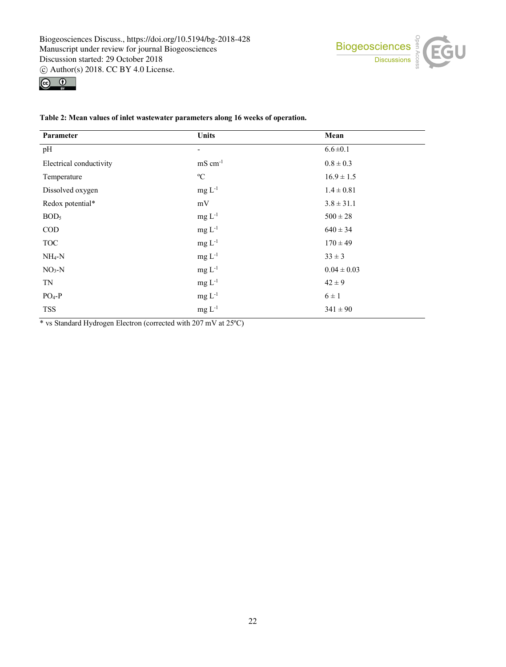



| Parameter               | <b>Units</b>          | Mean            |
|-------------------------|-----------------------|-----------------|
| pH                      | -                     | $6.6 \pm 0.1$   |
| Electrical conductivity | $mS$ cm <sup>-1</sup> | $0.8 \pm 0.3$   |
| Temperature             | $\rm ^{o}C$           | $16.9 \pm 1.5$  |
| Dissolved oxygen        | $mg L^{-1}$           | $1.4 \pm 0.81$  |
| Redox potential*        | $\rm mV$              | $3.8 \pm 31.1$  |
| BOD <sub>5</sub>        | $mg L^{-1}$           | $500\pm28$      |
| $\rm{COD}$              | $mg L^{-1}$           | $640 \pm 34$    |
| <b>TOC</b>              | $mg L-1$              | $170 \pm 49$    |
| $NH_4-N$                | $mg L^{-1}$           | $33 \pm 3$      |
| $NO3-N$                 | $mg L^{-1}$           | $0.04 \pm 0.03$ |
| $\rm TN$                | $mg L^{-1}$           | $42 \pm 9$      |
| $PO4-P$                 | $mg L-1$              | $6 \pm 1$       |
| <b>TSS</b>              | $mg L-1$              | $341 \pm 90$    |

#### **Table 2: Mean values of inlet wastewater parameters along 16 weeks of operation.**

\* vs Standard Hydrogen Electron (corrected with 207 mV at 25ºC)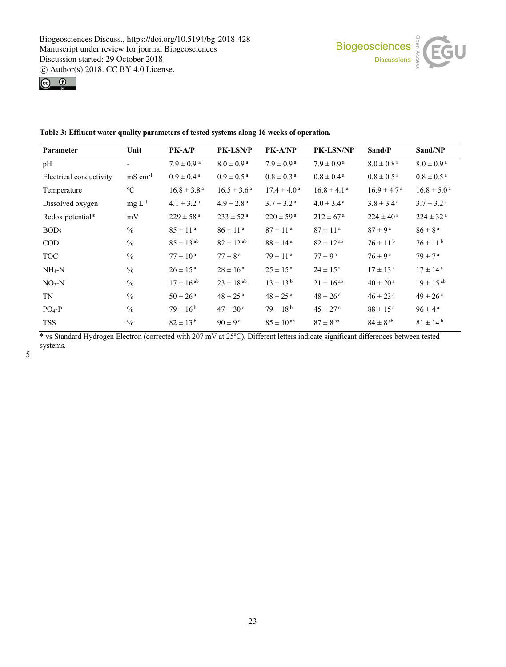



| Parameter               | Unit                | $PK-A/P$                   | <b>PK-LSN/P</b>            | PK-A/NP                    | PK-LSN/NP                   | Sand/P                     | Sand/NP                   |
|-------------------------|---------------------|----------------------------|----------------------------|----------------------------|-----------------------------|----------------------------|---------------------------|
| pH                      |                     | $7.9 \pm 0.9$ <sup>a</sup> | $8.0 \pm 0.9$ <sup>a</sup> | $7.9 \pm 0.9^{\text{a}}$   | $7.9 \pm 0.9^{\text{a}}$    | $8.0 \pm 0.8$ <sup>a</sup> | $8.0 \pm 0.9^{\text{a}}$  |
| Electrical conductivity | $\text{mS cm}^{-1}$ | $0.9 \pm 0.4^{\text{ a}}$  | $0.9 \pm 0.5^{\text{a}}$   | $0.8 \pm 0.3$ <sup>a</sup> | $0.8 \pm 0.4^{\text{ a}}$   | $0.8 \pm 0.5^{\text{ a}}$  | $0.8 \pm 0.5^{\text{ a}}$ |
| Temperature             | $\rm ^{o}C$         | $16.8 \pm 3.8^{\text{a}}$  | $16.5 \pm 3.6^{\text{a}}$  | $17.4 \pm 4.0^{\text{a}}$  | $16.8 \pm 4.1$ <sup>a</sup> | $16.9 \pm 4.7^{\text{a}}$  | $16.8 \pm 5.0^{\text{a}}$ |
| Dissolved oxygen        | $mg L^{-1}$         | $4.1 \pm 3.2$ <sup>a</sup> | $4.9 \pm 2.8$ <sup>a</sup> | $3.7 \pm 3.2^{\text{a}}$   | $4.0 \pm 3.4^{\text{a}}$    | $3.8 \pm 3.4^{\text{a}}$   | $3.7 \pm 3.2^{\text{a}}$  |
| Redox potential*        | mV                  | $229 \pm 58^{\text{a}}$    | $233 \pm 52^{\text{a}}$    | $220 \pm 59^{\text{ a}}$   | $212 \pm 67^{\rm a}$        | $224 \pm 40^{\text{ a}}$   | $224 \pm 32^{\text{a}}$   |
| BOD <sub>5</sub>        | $\%$                | $85 \pm 11^{a}$            | $86 \pm 11^{a}$            | $87 \pm 11^{a}$            | $87 \pm 11^{a}$             | $87 \pm 9^{\mathrm{a}}$    | $86 \pm 8^{\text{ a}}$    |
| <b>COD</b>              | $\frac{0}{0}$       | $85 \pm 13^{ab}$           | $82 \pm 12^{ab}$           | $88 \pm 14^{\text{ a}}$    | $82 \pm 12^{ab}$            | $76 \pm 11^{b}$            | $76 \pm 11^{b}$           |
| <b>TOC</b>              | $\frac{0}{0}$       | $77 \pm 10^{\text{ a}}$    | $77 \pm 8^{\text{ a}}$     | $79 \pm 11^{a}$            | $77 \pm 9^{\text{ a}}$      | $76 \pm 9^{\text{ a}}$     | $79 \pm 7^{\rm a}$        |
| $NH_4-N$                | $\frac{0}{0}$       | $26 \pm 15^{\text{ a}}$    | $28 \pm 16^{\text{ a}}$    | $25 \pm 15^{\text{ a}}$    | $24 \pm 15^{\text{ a}}$     | $17 \pm 13^{\text{ a}}$    | $17 \pm 14^{\text{ a}}$   |
| $NO3-N$                 | $\%$                | $17 \pm 16^{ab}$           | $23 \pm 18^{ab}$           | $13 \pm 13^{b}$            | $21 \pm 16^{ab}$            | $40 \pm 20^{\text{ a}}$    | $19 \pm 15^{ab}$          |
| <b>TN</b>               | $\frac{0}{0}$       | $50 \pm 26^{\text{ a}}$    | $48 \pm 25$ <sup>a</sup>   | $48 \pm 25$ <sup>a</sup>   | $48 \pm 26^{\text{ a}}$     | $46 \pm 23$ <sup>a</sup>   | $49 \pm 26$ <sup>a</sup>  |
| $PO4-P$                 | $\frac{0}{0}$       | $79 \pm 16^{b}$            | $47 \pm 30^{\circ}$        | $79 \pm 18^{b}$            | $45 \pm 27$ °               | $88 \pm 15^{\text{ a}}$    | $96 \pm 4^{\text{a}}$     |
| <b>TSS</b>              | $\frac{0}{0}$       | $82 \pm 13^{b}$            | $90 \pm 9^{\text{ a}}$     | $85 \pm 10^{ab}$           | $87 \pm 8$ <sup>ab</sup>    | $84 \pm 8$ <sup>ab</sup>   | $81 \pm 14^{b}$           |

**Table 3: Effluent water quality parameters of tested systems along 16 weeks of operation.**

\* vs Standard Hydrogen Electron (corrected with 207 mV at 25ºC). Different letters indicate significant differences between tested systems.

5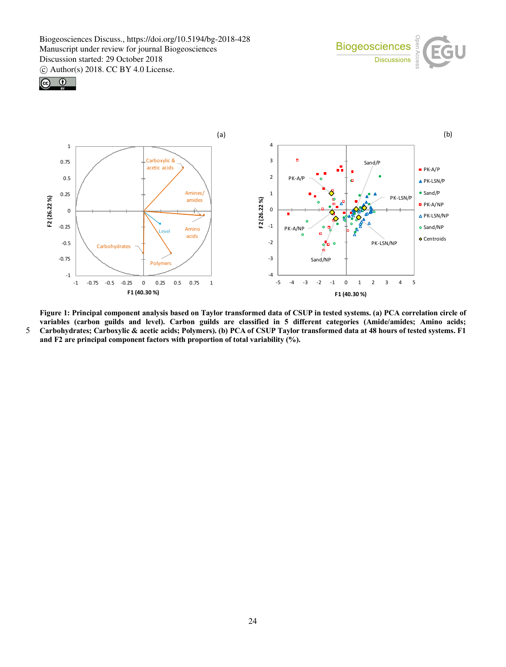





**Figure 1: Principal component analysis based on Taylor transformed data of CSUP in tested systems. (a) PCA correlation circle of variables (carbon guilds and level). Carbon guilds are classified in 5 different categories (Amide/amides; Amino acids;**  5 **Carbohydrates; Carboxylic & acetic acids; Polymers). (b) PCA of CSUP Taylor transformed data at 48 hours of tested systems. F1 and F2 are principal component factors with proportion of total variability (%).**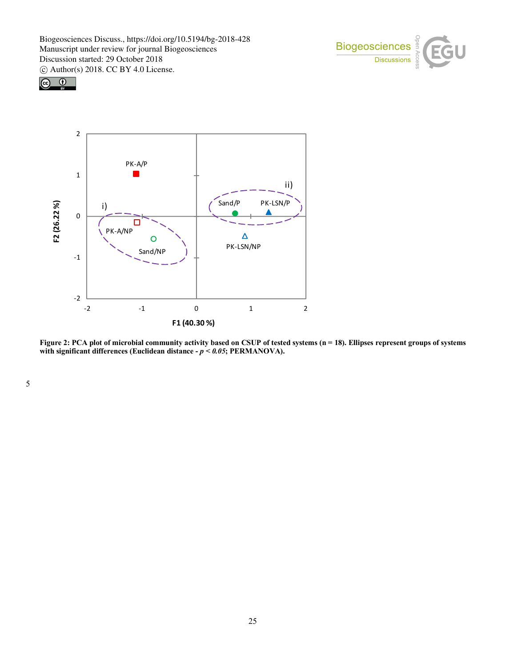





Figure 2: PCA plot of microbial community activity based on CSUP of tested systems (n = 18). Ellipses represent groups of systems **with significant differences (Euclidean distance -** *p < 0.05***; PERMANOVA).**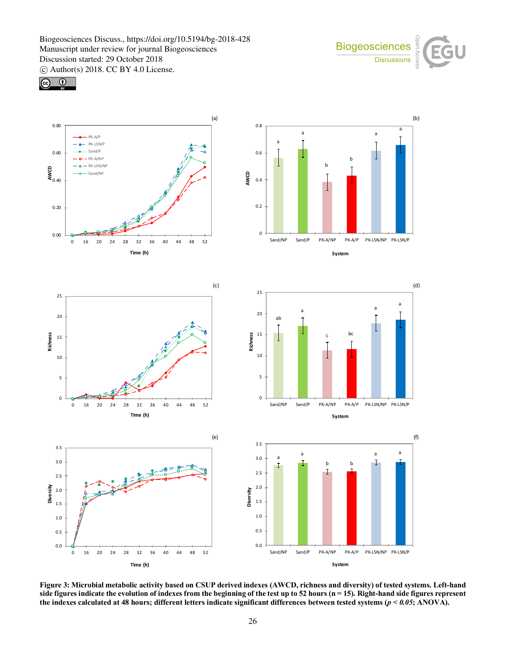





**Figure 3: Microbial metabolic activity based on CSUP derived indexes (AWCD, richness and diversity) of tested systems. Left-hand side figures indicate the evolution of indexes from the beginning of the test up to 52 hours (n = 15). Right-hand side figures represent the indexes calculated at 48 hours; different letters indicate significant differences between tested systems (***p < 0.05***; ANOVA).**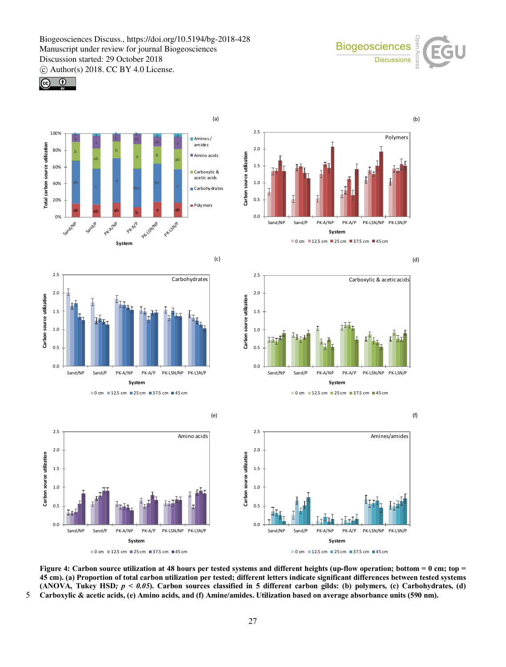Biogeosciences Discuss., https://doi.org/10.5194/bg-2018-428 Manuscript under review for journal Biogeosciences Discussion started: 29 October 2018



c Author(s) 2018. CC BY 4.0 License.





Figure 4: Carbon source utilization at 48 hours per tested systems and different heights (up-flow operation; bottom = 0 cm; top = **45 cm). (a) Proportion of total carbon utilization per tested; different letters indicate significant differences between tested systems (ANOVA, Tukey HSD***; p < 0.05***). Carbon sources classified in 5 different carbon gilds: (b) polymers, (c) Carbohydrates, (d)**  5 **Carboxylic & acetic acids, (e) Amino acids, and (f) Amine/amides. Utilization based on average absorbance units (590 nm).**